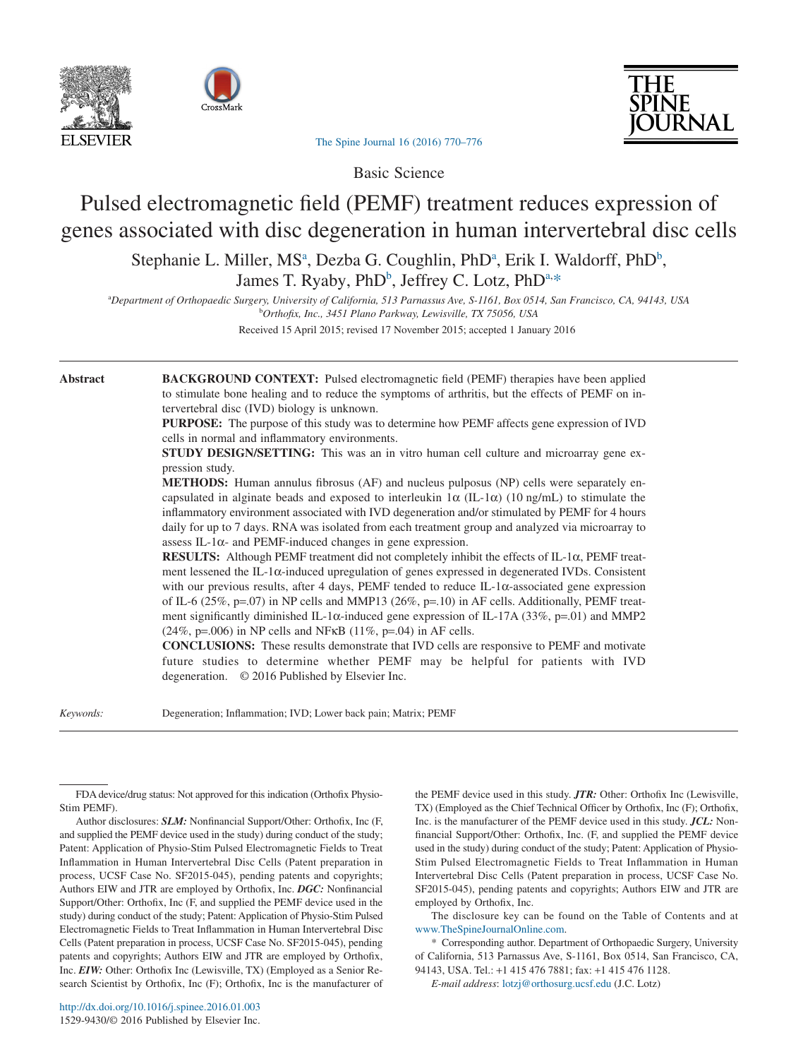





[The Spine Journal 16 \(2016\) 770–776](http://dx.doi.org/10.1016/j.spinee.2016.01.003)

Basic Science

# Pulsed electromagnetic field (PEMF) treatment reduces expression of genes associated with disc degeneration in human intervertebral disc cells

Stephanie L. Miller, MS<sup>a</sup>, Dezba G. Coughlin, PhD<sup>a</sup>, Erik I. Waldorff, PhD<sup>b</sup>, James T. Ryaby, PhD<sup>b</sup>, Jeffrey C. Lotz, PhD<sup>a,[\\*](#page-0-2)</sup>

<span id="page-0-0"></span>a *Department of Orthopaedic Surgery, University of California, 513 Parnassus Ave, S-1161, Box 0514, San Francisco, CA, 94143, USA* b *Orthofix, Inc., 3451 Plano Parkway, Lewisville, TX 75056, USA*

<span id="page-0-1"></span>Received 15 April 2015; revised 17 November 2015; accepted 1 January 2016

**Abstract BACKGROUND CONTEXT:** Pulsed electromagnetic field (PEMF) therapies have been applied to stimulate bone healing and to reduce the symptoms of arthritis, but the effects of PEMF on intervertebral disc (IVD) biology is unknown.

> **PURPOSE:** The purpose of this study was to determine how PEMF affects gene expression of IVD cells in normal and inflammatory environments.

> **STUDY DESIGN/SETTING:** This was an in vitro human cell culture and microarray gene expression study.

> **METHODS:** Human annulus fibrosus (AF) and nucleus pulposus (NP) cells were separately encapsulated in alginate beads and exposed to interleukin  $1\alpha$  (IL-1 $\alpha$ ) (10 ng/mL) to stimulate the inflammatory environment associated with IVD degeneration and/or stimulated by PEMF for 4 hours daily for up to 7 days. RNA was isolated from each treatment group and analyzed via microarray to assess IL-1 $\alpha$ - and PEMF-induced changes in gene expression.

> **RESULTS:** Although PEMF treatment did not completely inhibit the effects of IL-1α, PEMF treatment lessened the IL-1α-induced upregulation of genes expressed in degenerated IVDs. Consistent with our previous results, after 4 days, PEMF tended to reduce IL-1α-associated gene expression of IL-6 (25%, p=.07) in NP cells and MMP13 (26%, p=.10) in AF cells. Additionally, PEMF treatment significantly diminished IL-1 $\alpha$ -induced gene expression of IL-17A (33%, p=.01) and MMP2  $(24\%, p=.006)$  in NP cells and NFKB  $(11\%, p=.04)$  in AF cells.

> **CONCLUSIONS:** These results demonstrate that IVD cells are responsive to PEMF and motivate future studies to determine whether PEMF may be helpful for patients with IVD degeneration. © 2016 Published by Elsevier Inc.

*Keywords:* Degeneration; Inflammation; IVD; Lower back pain; Matrix; PEMF

Author disclosures: **SLM:** Nonfinancial Support/Other: Orthofix, Inc (F, and supplied the PEMF device used in the study) during conduct of the study; Patent: Application of Physio-Stim Pulsed Electromagnetic Fields to Treat Inflammation in Human Intervertebral Disc Cells (Patent preparation in process, UCSF Case No. SF2015-045), pending patents and copyrights; Authors EIW and JTR are employed by Orthofix, Inc. *DGC:* Nonfinancial Support/Other: Orthofix, Inc (F, and supplied the PEMF device used in the study) during conduct of the study; Patent: Application of Physio-Stim Pulsed Electromagnetic Fields to Treat Inflammation in Human Intervertebral Disc Cells (Patent preparation in process, UCSF Case No. SF2015-045), pending patents and copyrights; Authors EIW and JTR are employed by Orthofix, Inc. *EIW:* Other: Orthofix Inc (Lewisville, TX) (Employed as a Senior Research Scientist by Orthofix, Inc (F); Orthofix, Inc is the manufacturer of the PEMF device used in this study. *JTR:* Other: Orthofix Inc (Lewisville, TX) (Employed as the Chief Technical Officer by Orthofix, Inc (F); Orthofix, Inc. is the manufacturer of the PEMF device used in this study. *JCL:* Nonfinancial Support/Other: Orthofix, Inc. (F, and supplied the PEMF device used in the study) during conduct of the study; Patent: Application of Physio-Stim Pulsed Electromagnetic Fields to Treat Inflammation in Human Intervertebral Disc Cells (Patent preparation in process, UCSF Case No. SF2015-045), pending patents and copyrights; Authors EIW and JTR are employed by Orthofix, Inc.

The disclosure key can be found on the Table of Contents and at [www.TheSpineJournalOnline.com.](http://www.TheSpineJournalOnline.com)

<span id="page-0-2"></span>\* Corresponding author. Department of Orthopaedic Surgery, University of California, 513 Parnassus Ave, S-1161, Box 0514, San Francisco, CA, 94143, USA. Tel.: +1 415 476 7881; fax: +1 415 476 1128.

*E-mail address*: [lotzj@orthosurg.ucsf.edu](mailto:lotzj@orthosurg.ucsf.edu) (J.C. Lotz)

FDA device/drug status: Not approved for this indication (Orthofix Physio-Stim PEMF).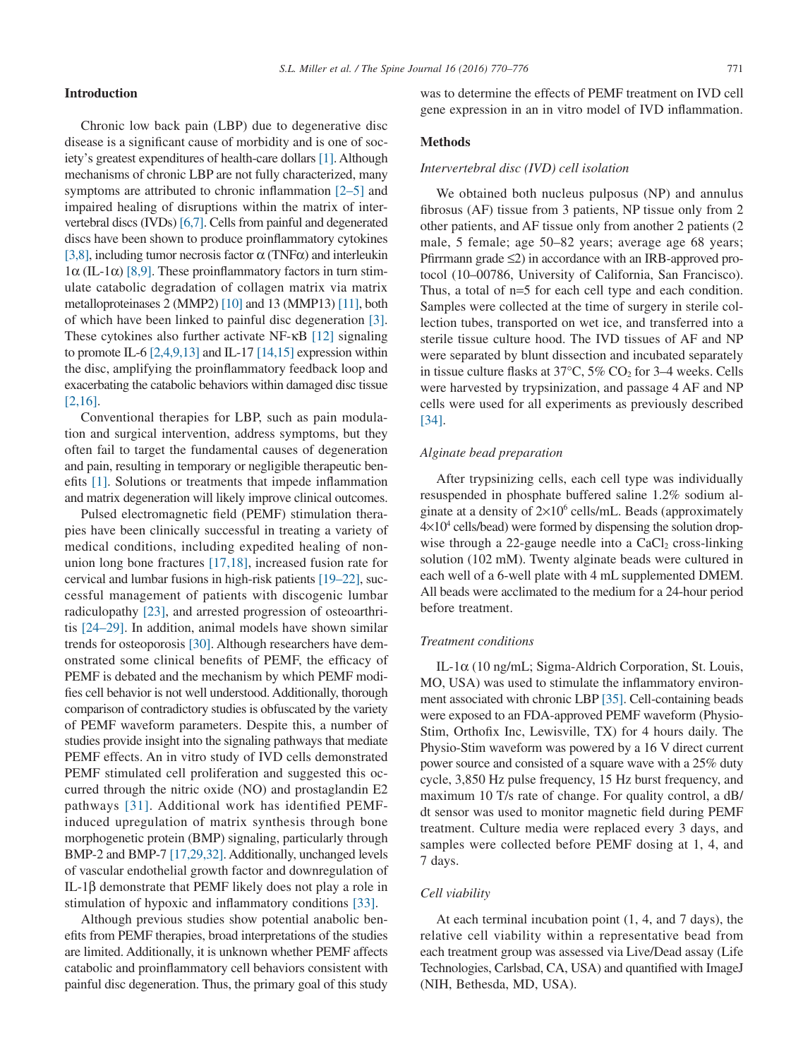[\[2,16\].](#page-5-1)

disease is a significant cause of morbidity and is one of society's greatest expenditures of health-care dollars [\[1\].](#page-5-0) Although mechanisms of chronic LBP are not fully characterized, many symptoms are attributed to chronic inflammation [\[2–5\]](#page-5-1) and impaired healing of disruptions within the matrix of intervertebral discs (IVDs) [\[6,7\].](#page-5-2) Cells from painful and degenerated discs have been shown to produce proinflammatory cytokines [\[3,8\],](#page-5-3) including tumor necrosis factor  $\alpha$  (TNF $\alpha$ ) and interleukin  $1\alpha$  (IL-1 $\alpha$ ) [\[8,9\].](#page-5-4) These proinflammatory factors in turn stimulate catabolic degradation of collagen matrix via matrix metalloproteinases 2 (MMP2) [\[10\]](#page-5-5) and 13 (MMP13) [\[11\],](#page-5-6) both of which have been linked to painful disc degeneration [\[3\].](#page-5-3) These cytokines also further activate NF-κB [\[12\]](#page-5-7) signaling to promote IL-6  $[2,4,9,13]$  and IL-17  $[14,15]$  expression within the disc, amplifying the proinflammatory feedback loop and exacerbating the catabolic behaviors within damaged disc tissue

Chronic low back pain (LBP) due to degenerative disc

Conventional therapies for LBP, such as pain modulation and surgical intervention, address symptoms, but they often fail to target the fundamental causes of degeneration and pain, resulting in temporary or negligible therapeutic benefits [\[1\].](#page-5-0) Solutions or treatments that impede inflammation and matrix degeneration will likely improve clinical outcomes.

Pulsed electromagnetic field (PEMF) stimulation therapies have been clinically successful in treating a variety of medical conditions, including expedited healing of nonunion long bone fractures [\[17,18\],](#page-6-0) increased fusion rate for cervical and lumbar fusions in high-risk patients [\[19–22\],](#page-6-1) successful management of patients with discogenic lumbar radiculopathy [\[23\],](#page-6-2) and arrested progression of osteoarthritis [\[24–29\].](#page-6-3) In addition, animal models have shown similar trends for osteoporosis [\[30\].](#page-6-4) Although researchers have demonstrated some clinical benefits of PEMF, the efficacy of PEMF is debated and the mechanism by which PEMF modifies cell behavior is not well understood. Additionally, thorough comparison of contradictory studies is obfuscated by the variety of PEMF waveform parameters. Despite this, a number of studies provide insight into the signaling pathways that mediate PEMF effects. An in vitro study of IVD cells demonstrated PEMF stimulated cell proliferation and suggested this occurred through the nitric oxide (NO) and prostaglandin E2 pathways [\[31\].](#page-6-5) Additional work has identified PEMFinduced upregulation of matrix synthesis through bone morphogenetic protein (BMP) signaling, particularly through BMP-2 and BMP-7 [\[17,29,32\].](#page-6-0) Additionally, unchanged levels of vascular endothelial growth factor and downregulation of IL-1β demonstrate that PEMF likely does not play a role in stimulation of hypoxic and inflammatory conditions [\[33\].](#page-6-6)

Although previous studies show potential anabolic benefits from PEMF therapies, broad interpretations of the studies are limited. Additionally, it is unknown whether PEMF affects catabolic and proinflammatory cell behaviors consistent with painful disc degeneration. Thus, the primary goal of this study

was to determine the effects of PEMF treatment on IVD cell gene expression in an in vitro model of IVD inflammation.

# **Methods**

## *Intervertebral disc (IVD) cell isolation*

We obtained both nucleus pulposus (NP) and annulus fibrosus (AF) tissue from 3 patients, NP tissue only from 2 other patients, and AF tissue only from another 2 patients (2 male, 5 female; age 50–82 years; average age 68 years; Pfirrmann grade ≤2) in accordance with an IRB-approved protocol (10–00786, University of California, San Francisco). Thus, a total of n=5 for each cell type and each condition. Samples were collected at the time of surgery in sterile collection tubes, transported on wet ice, and transferred into a sterile tissue culture hood. The IVD tissues of AF and NP were separated by blunt dissection and incubated separately in tissue culture flasks at  $37^{\circ}$ C,  $5\%$  CO<sub>2</sub> for 3–4 weeks. Cells were harvested by trypsinization, and passage 4 AF and NP cells were used for all experiments as previously described [\[34\].](#page-6-7)

## *Alginate bead preparation*

After trypsinizing cells, each cell type was individually resuspended in phosphate buffered saline 1.2% sodium alginate at a density of  $2\times10^6$  cells/mL. Beads (approximately  $4\times10^4$  cells/bead) were formed by dispensing the solution dropwise through a 22-gauge needle into a  $CaCl<sub>2</sub>$  cross-linking solution (102 mM). Twenty alginate beads were cultured in each well of a 6-well plate with 4 mL supplemented DMEM. All beads were acclimated to the medium for a 24-hour period before treatment.

## *Treatment conditions*

IL-1α (10 ng/mL; Sigma-Aldrich Corporation, St. Louis, MO, USA) was used to stimulate the inflammatory environment associated with chronic LBP [\[35\].](#page-6-8) Cell-containing beads were exposed to an FDA-approved PEMF waveform (Physio-Stim, Orthofix Inc, Lewisville, TX) for 4 hours daily. The Physio-Stim waveform was powered by a 16 V direct current power source and consisted of a square wave with a 25% duty cycle, 3,850 Hz pulse frequency, 15 Hz burst frequency, and maximum 10 T/s rate of change. For quality control, a dB/ dt sensor was used to monitor magnetic field during PEMF treatment. Culture media were replaced every 3 days, and samples were collected before PEMF dosing at 1, 4, and 7 days.

### *Cell viability*

At each terminal incubation point (1, 4, and 7 days), the relative cell viability within a representative bead from each treatment group was assessed via Live/Dead assay (Life Technologies, Carlsbad, CA, USA) and quantified with ImageJ (NIH, Bethesda, MD, USA).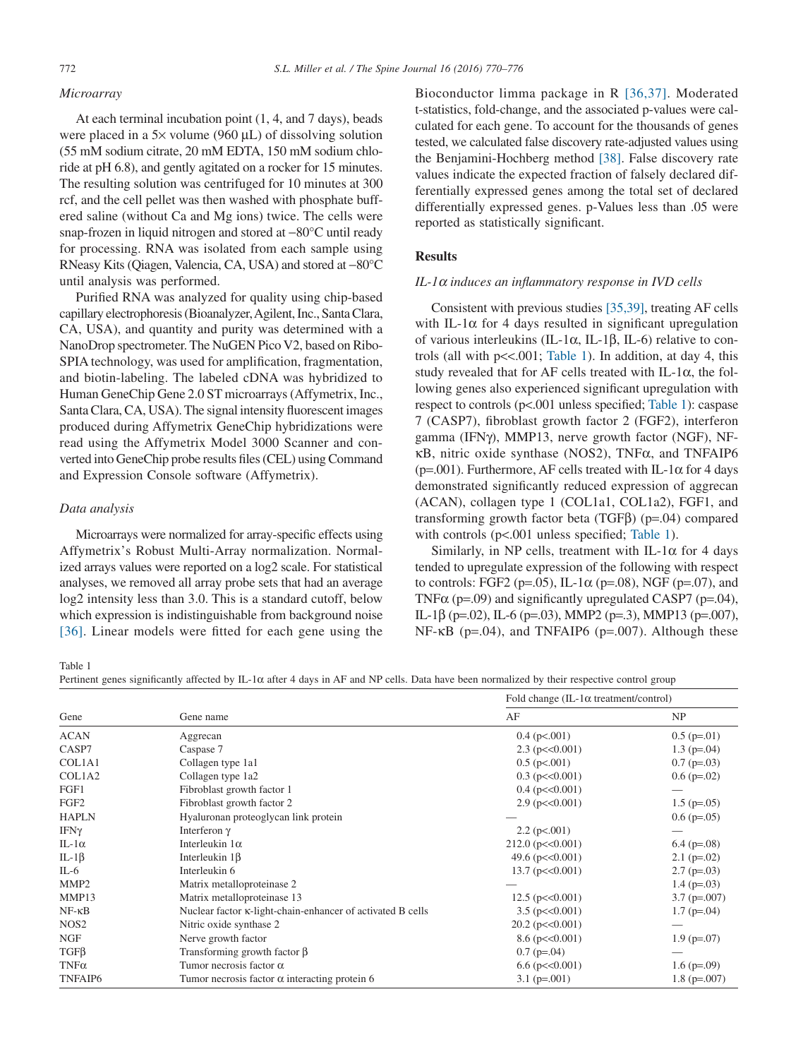## <span id="page-2-0"></span>*Microarray*

At each terminal incubation point (1, 4, and 7 days), beads were placed in a 5× volume (960 μL) of dissolving solution (55 mM sodium citrate, 20 mM EDTA, 150 mM sodium chloride at pH 6.8), and gently agitated on a rocker for 15 minutes. The resulting solution was centrifuged for 10 minutes at 300 rcf, and the cell pellet was then washed with phosphate buffered saline (without Ca and Mg ions) twice. The cells were snap-frozen in liquid nitrogen and stored at −80°C until ready for processing. RNA was isolated from each sample using RNeasy Kits (Qiagen, Valencia, CA, USA) and stored at −80°C until analysis was performed.

Purified RNA was analyzed for quality using chip-based capillary electrophoresis (Bioanalyzer,Agilent, Inc., Santa Clara, CA, USA), and quantity and purity was determined with a NanoDrop spectrometer. The NuGEN Pico V2, based on Ribo-SPIA technology, was used for amplification, fragmentation, and biotin-labeling. The labeled cDNA was hybridized to Human GeneChip Gene 2.0 ST microarrays (Affymetrix, Inc., Santa Clara, CA, USA). The signal intensity fluorescent images produced during Affymetrix GeneChip hybridizations were read using the Affymetrix Model 3000 Scanner and converted into GeneChip probe results files (CEL) using Command and Expression Console software (Affymetrix).

## *Data analysis*

Microarrays were normalized for array-specific effects using Affymetrix's Robust Multi-Array normalization. Normalized arrays values were reported on a log2 scale. For statistical analyses, we removed all array probe sets that had an average log2 intensity less than 3.0. This is a standard cutoff, below which expression is indistinguishable from background noise [\[36\].](#page-6-9) Linear models were fitted for each gene using the

Bioconductor limma package in R [\[36,37\].](#page-6-9) Moderated t-statistics, fold-change, and the associated p-values were calculated for each gene. To account for the thousands of genes tested, we calculated false discovery rate-adjusted values using the Benjamini-Hochberg method [\[38\].](#page-6-10) False discovery rate values indicate the expected fraction of falsely declared differentially expressed genes among the total set of declared differentially expressed genes. p-Values less than .05 were reported as statistically significant.

# **Results**

#### *IL-1α induces an inflammatory response in IVD cells*

Consistent with previous studies [\[35,39\],](#page-6-8) treating AF cells with IL-1 $\alpha$  for 4 days resulted in significant upregulation of various interleukins (IL-1 $\alpha$ , IL-1 $\beta$ , IL-6) relative to controls (all with  $p \ll 0.001$ ; Table 1). In addition, at day 4, this study revealed that for AF cells treated with IL-1α, the following genes also experienced significant upregulation with respect to controls (p<.001 unless specified; Table 1): caspase 7 (CASP7), fibroblast growth factor 2 (FGF2), interferon gamma (IFNγ), MMP13, nerve growth factor (NGF), NFκB, nitric oxide synthase (NOS2), TNFα, and TNFAIP6 ( $p=0.001$ ). Furthermore, AF cells treated with IL-1 $\alpha$  for 4 days demonstrated significantly reduced expression of aggrecan (ACAN), collagen type 1 (COL1a1, COL1a2), FGF1, and transforming growth factor beta (TGFβ) (p=.04) compared with controls (p<.001 unless specified; Table 1).

Similarly, in NP cells, treatment with IL-1 $\alpha$  for 4 days tended to upregulate expression of the following with respect to controls: FGF2 ( $p=.05$ ), IL-1 $\alpha$  ( $p=.08$ ), NGF ( $p=.07$ ), and TNF $\alpha$  (p=.09) and significantly upregulated CASP7 (p=.04), IL-1β (p=.02), IL-6 (p=.03), MMP2 (p=.3), MMP13 (p=.007), NF-κB (p=.04), and TNFAIP6 (p=.007). Although these

Table 1

Pertinent genes significantly affected by IL-1α after 4 days in AF and NP cells. Data have been normalized by their respective control group

| Gene             | Gene name                                                  | Fold change (IL-1 $\alpha$ treatment/control) |                    |
|------------------|------------------------------------------------------------|-----------------------------------------------|--------------------|
|                  |                                                            | AF                                            | NP                 |
| <b>ACAN</b>      | Aggrecan                                                   | $0.4$ (p $< 0.01$ )                           | $0.5$ (p=.01)      |
| CASP7            | Caspase 7                                                  | $2.3$ (p $\leq 0.001$ )                       | $1.3$ (p=.04)      |
| COL1A1           | Collagen type 1a1                                          | $0.5$ (p $< 0.01$ )                           | $0.7$ (p=.03)      |
| COL1A2           | Collagen type 1a2                                          | $0.3$ (p $<<0.001$ )                          | $0.6$ (p=.02)      |
| FGF1             | Fibroblast growth factor 1                                 | $0.4$ (p $<<0.001$ )                          |                    |
| FGF <sub>2</sub> | Fibroblast growth factor 2                                 | $2.9$ (p $<<0.001$ )                          | $1.5$ (p=.05)      |
| <b>HAPLN</b>     | Hyaluronan proteoglycan link protein                       |                                               | $0.6$ (p= $0.05$ ) |
| $IFN\gamma$      | Interferon $\gamma$                                        | $2.2$ (p $< 0.001$ )                          |                    |
| IL-1 $\alpha$    | Interleukin $1\alpha$                                      | $212.0$ ( $p<<0.001$ )                        | $6.4$ (p=.08)      |
| IL-1 $\beta$     | Interleukin $1\beta$                                       | 49.6 ( $p \ll 0.001$ )                        | $2.1$ (p=.02)      |
| $IL-6$           | Interleukin 6                                              | $13.7$ (p $<<0.001$ )                         | $2.7$ (p=.03)      |
| MMP <sub>2</sub> | Matrix metalloproteinase 2                                 |                                               | $1.4$ (p=.03)      |
| MMP13            | Matrix metalloproteinase 13                                | $12.5$ (p $<<0.001$ )                         | $3.7$ (p=.007)     |
| $NF - \kappa B$  | Nuclear factor κ-light-chain-enhancer of activated B cells | $3.5$ (p $<<0.001$ )                          | $1.7$ (p=.04)      |
| NOS <sub>2</sub> | Nitric oxide synthase 2                                    | $20.2$ (p $<<0.001$ )                         |                    |
| <b>NGF</b>       | Nerve growth factor                                        | $8.6$ (p $<<0.001$ )                          | $1.9$ (p=.07)      |
| $TGF\beta$       | Transforming growth factor $\beta$                         | $0.7$ (p=.04)                                 |                    |
| $TNF\alpha$      | Tumor necrosis factor $\alpha$                             | $6.6$ ( $p \le 0.001$ )                       | $1.6$ (p=.09)      |
| TNFAIP6          | Tumor necrosis factor $\alpha$ interacting protein 6       | $3.1$ (p=.001)                                | $1.8$ (p=.007)     |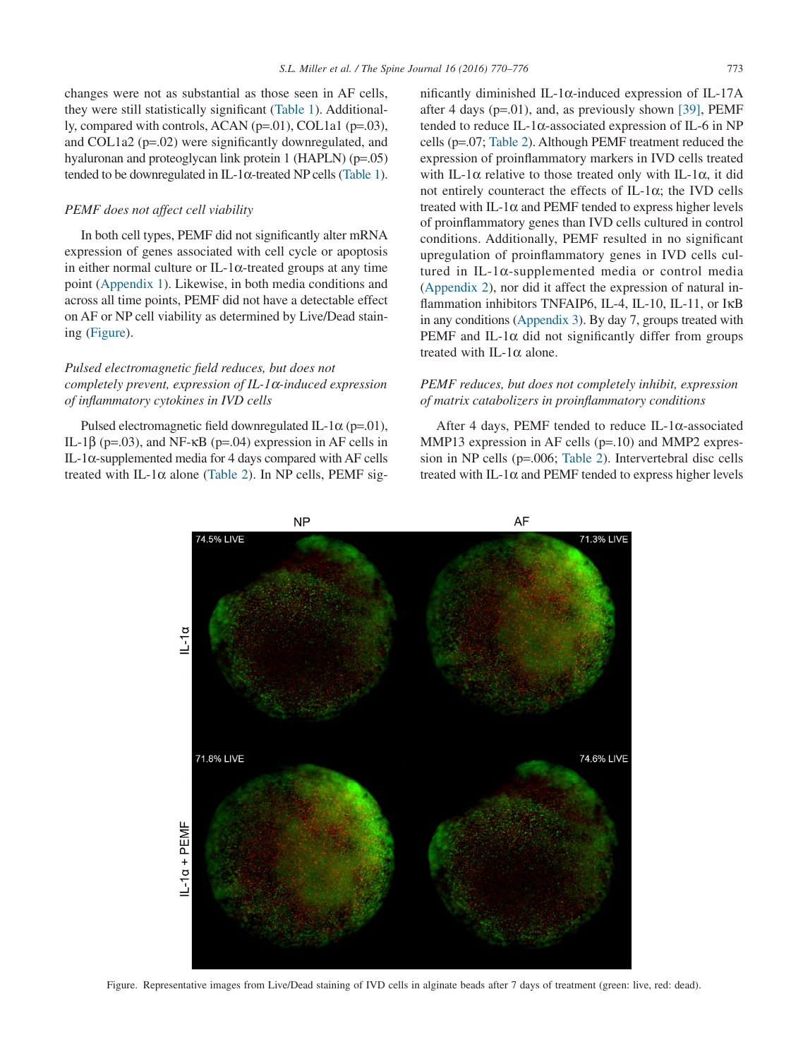changes were not as substantial as those seen in AF cells, they were still statistically significant [\(Table 1\)](#page-2-0). Additionally, compared with controls, ACAN (p=.01), COL1a1 (p=.03), and COL1a2 (p=.02) were significantly downregulated, and hyaluronan and proteoglycan link protein 1 (HAPLN) (p=.05) tended to be downregulated in IL-1α-treated NP cells [\(Table 1\)](#page-2-0).

## *PEMF does not affect cell viability*

In both cell types, PEMF did not significantly alter mRNA expression of genes associated with cell cycle or apoptosis in either normal culture or IL-1 $\alpha$ -treated groups at any time point (Appendix 1). Likewise, in both media conditions and across all time points, PEMF did not have a detectable effect on AF or NP cell viability as determined by Live/Dead staining (Figure).

# *Pulsed electromagnetic field reduces, but does not completely prevent, expression of IL-1α-induced expression of inflammatory cytokines in IVD cells*

Pulsed electromagnetic field downregulated IL-1 $\alpha$  (p=.01), IL-1β ( $p=03$ ), and NF- $\kappa$ B ( $p=.04$ ) expression in AF cells in IL-1α-supplemented media for 4 days compared with AF cells treated with IL-1 $\alpha$  alone [\(Table 2\)](#page-4-0). In NP cells, PEMF significantly diminished IL-1 $\alpha$ -induced expression of IL-17A after 4 days ( $p=01$ ), and, as previously shown [\[39\],](#page-6-11) PEMF tended to reduce IL-1α-associated expression of IL-6 in NP cells (p=.07; [Table 2\)](#page-4-0). Although PEMF treatment reduced the expression of proinflammatory markers in IVD cells treated with IL-1 $\alpha$  relative to those treated only with IL-1 $\alpha$ , it did not entirely counteract the effects of IL-1 $\alpha$ ; the IVD cells treated with IL-1 $\alpha$  and PEMF tended to express higher levels of proinflammatory genes than IVD cells cultured in control conditions. Additionally, PEMF resulted in no significant upregulation of proinflammatory genes in IVD cells cultured in IL-1α-supplemented media or control media (Appendix 2), nor did it affect the expression of natural inflammation inhibitors TNFAIP6, IL-4, IL-10, IL-11, or IKB in any conditions (Appendix 3). By day 7, groups treated with PEMF and IL-1 $\alpha$  did not significantly differ from groups treated with IL-1 $\alpha$  alone.

# *PEMF reduces, but does not completely inhibit, expression of matrix catabolizers in proinflammatory conditions*

After 4 days, PEMF tended to reduce IL-1α-associated MMP13 expression in AF cells (p=.10) and MMP2 expression in NP cells (p=.006; [Table 2\)](#page-4-0). Intervertebral disc cells treated with IL-1 $\alpha$  and PEMF tended to express higher levels



Figure. Representative images from Live/Dead staining of IVD cells in alginate beads after 7 days of treatment (green: live, red: dead).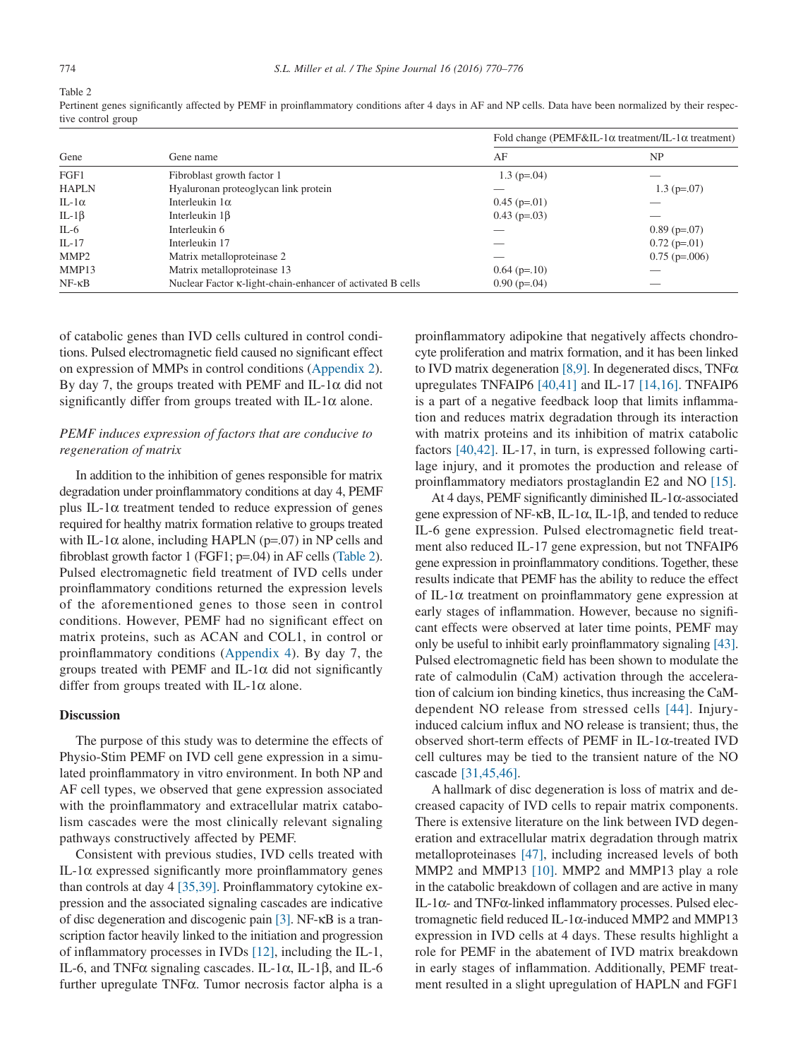<span id="page-4-0"></span>Table 2

Pertinent genes significantly affected by PEMF in proinflammatory conditions after 4 days in AF and NP cells. Data have been normalized by their respective control group

| Gene             | Gene name                                                  | Fold change (PEMF&IL-1 $\alpha$ treatment/IL-1 $\alpha$ treatment) |                 |
|------------------|------------------------------------------------------------|--------------------------------------------------------------------|-----------------|
|                  |                                                            | AF                                                                 | NP              |
| FGF1             | Fibroblast growth factor 1                                 | $1.3$ (p=.04)                                                      |                 |
| <b>HAPLN</b>     | Hyaluronan proteoglycan link protein                       |                                                                    | $1.3$ (p=.07)   |
| IL-1 $\alpha$    | Interleukin $1\alpha$                                      | $0.45$ (p=.01)                                                     |                 |
| IL-1 $\beta$     | Interleukin $1\beta$                                       | $0.43$ (p=.03)                                                     |                 |
| IL-6             | Interleukin 6                                              |                                                                    | $0.89$ (p=.07)  |
| $IL-17$          | Interleukin 17                                             |                                                                    | $0.72$ (p=.01)  |
| MMP <sub>2</sub> | Matrix metalloproteinase 2                                 |                                                                    | $0.75$ (p=.006) |
| MMP13            | Matrix metalloproteinase 13                                | $0.64$ (p=.10)                                                     |                 |
| $NF - \kappa B$  | Nuclear Factor K-light-chain-enhancer of activated B cells | $0.90(p=.04)$                                                      |                 |

of catabolic genes than IVD cells cultured in control conditions. Pulsed electromagnetic field caused no significant effect on expression of MMPs in control conditions (Appendix 2). By day 7, the groups treated with PEMF and IL-1 $\alpha$  did not significantly differ from groups treated with IL-1 $\alpha$  alone.

# *PEMF induces expression of factors that are conducive to regeneration of matrix*

In addition to the inhibition of genes responsible for matrix degradation under proinflammatory conditions at day 4, PEMF plus IL-1α treatment tended to reduce expression of genes required for healthy matrix formation relative to groups treated with IL-1 $\alpha$  alone, including HAPLN (p=.07) in NP cells and fibroblast growth factor 1 (FGF1; p=.04) in AF cells (Table 2). Pulsed electromagnetic field treatment of IVD cells under proinflammatory conditions returned the expression levels of the aforementioned genes to those seen in control conditions. However, PEMF had no significant effect on matrix proteins, such as ACAN and COL1, in control or proinflammatory conditions (Appendix 4). By day 7, the groups treated with PEMF and IL-1 $\alpha$  did not significantly differ from groups treated with IL-1 $\alpha$  alone.

## **Discussion**

The purpose of this study was to determine the effects of Physio-Stim PEMF on IVD cell gene expression in a simulated proinflammatory in vitro environment. In both NP and AF cell types, we observed that gene expression associated with the proinflammatory and extracellular matrix catabolism cascades were the most clinically relevant signaling pathways constructively affected by PEMF.

Consistent with previous studies, IVD cells treated with IL-1α expressed significantly more proinflammatory genes than controls at day 4 [\[35,39\].](#page-6-8) Proinflammatory cytokine expression and the associated signaling cascades are indicative of disc degeneration and discogenic pain [\[3\].](#page-5-3) NF-κB is a transcription factor heavily linked to the initiation and progression of inflammatory processes in IVDs [\[12\],](#page-5-7) including the IL-1, IL-6, and TNFα signaling cascades. IL-1α, IL-1β, and IL-6 further upregulate TNFα. Tumor necrosis factor alpha is a

proinflammatory adipokine that negatively affects chondrocyte proliferation and matrix formation, and it has been linked to IVD matrix degeneration [\[8,9\].](#page-5-4) In degenerated discs, TNF $\alpha$ upregulates TNFAIP6 [\[40,41\]](#page-6-12) and IL-17 [\[14,16\].](#page-5-8) TNFAIP6 is a part of a negative feedback loop that limits inflammation and reduces matrix degradation through its interaction with matrix proteins and its inhibition of matrix catabolic factors [\[40,42\].](#page-6-12) IL-17, in turn, is expressed following cartilage injury, and it promotes the production and release of proinflammatory mediators prostaglandin E2 and NO [\[15\].](#page-6-13)

At 4 days, PEMF significantly diminished IL-1α-associated gene expression of NF-κB, IL-1α, IL-1β, and tended to reduce IL-6 gene expression. Pulsed electromagnetic field treatment also reduced IL-17 gene expression, but not TNFAIP6 gene expression in proinflammatory conditions. Together, these results indicate that PEMF has the ability to reduce the effect of IL-1α treatment on proinflammatory gene expression at early stages of inflammation. However, because no significant effects were observed at later time points, PEMF may only be useful to inhibit early proinflammatory signaling [\[43\].](#page-6-14) Pulsed electromagnetic field has been shown to modulate the rate of calmodulin (CaM) activation through the acceleration of calcium ion binding kinetics, thus increasing the CaMdependent NO release from stressed cells [\[44\].](#page-6-15) Injuryinduced calcium influx and NO release is transient; thus, the observed short-term effects of PEMF in IL-1α-treated IVD cell cultures may be tied to the transient nature of the NO cascade [\[31,45,46\].](#page-6-5)

A hallmark of disc degeneration is loss of matrix and decreased capacity of IVD cells to repair matrix components. There is extensive literature on the link between IVD degeneration and extracellular matrix degradation through matrix metalloproteinases [\[47\],](#page-6-16) including increased levels of both MMP2 and MMP13 [\[10\].](#page-5-5) MMP2 and MMP13 play a role in the catabolic breakdown of collagen and are active in many IL-1α- and TNFα-linked inflammatory processes. Pulsed electromagnetic field reduced IL-1α-induced MMP2 and MMP13 expression in IVD cells at 4 days. These results highlight a role for PEMF in the abatement of IVD matrix breakdown in early stages of inflammation. Additionally, PEMF treatment resulted in a slight upregulation of HAPLN and FGF1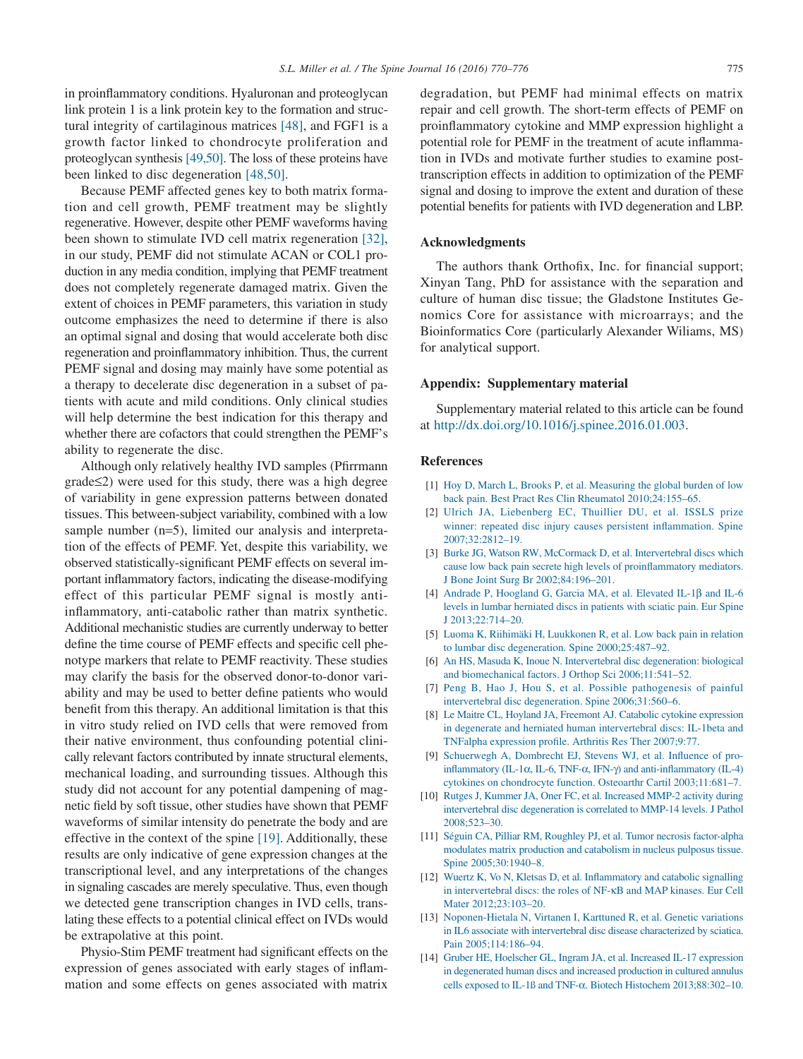in proinflammatory conditions. Hyaluronan and proteoglycan link protein 1 is a link protein key to the formation and structural integrity of cartilaginous matrices [\[48\],](#page-6-17) and FGF1 is a growth factor linked to chondrocyte proliferation and proteoglycan synthesis [\[49,50\].](#page-6-18) The loss of these proteins have been linked to disc degeneration [\[48,50\].](#page-6-17)

Because PEMF affected genes key to both matrix formation and cell growth, PEMF treatment may be slightly regenerative. However, despite other PEMF waveforms having been shown to stimulate IVD cell matrix regeneration [\[32\],](#page-6-19) in our study, PEMF did not stimulate ACAN or COL1 production in any media condition, implying that PEMF treatment does not completely regenerate damaged matrix. Given the extent of choices in PEMF parameters, this variation in study outcome emphasizes the need to determine if there is also an optimal signal and dosing that would accelerate both disc regeneration and proinflammatory inhibition. Thus, the current PEMF signal and dosing may mainly have some potential as a therapy to decelerate disc degeneration in a subset of patients with acute and mild conditions. Only clinical studies will help determine the best indication for this therapy and whether there are cofactors that could strengthen the PEMF's ability to regenerate the disc.

Although only relatively healthy IVD samples (Pfirrmann grade≤2) were used for this study, there was a high degree of variability in gene expression patterns between donated tissues. This between-subject variability, combined with a low sample number (n=5), limited our analysis and interpretation of the effects of PEMF. Yet, despite this variability, we observed statistically-significant PEMF effects on several important inflammatory factors, indicating the disease-modifying effect of this particular PEMF signal is mostly antiinflammatory, anti-catabolic rather than matrix synthetic. Additional mechanistic studies are currently underway to better define the time course of PEMF effects and specific cell phenotype markers that relate to PEMF reactivity. These studies may clarify the basis for the observed donor-to-donor variability and may be used to better define patients who would benefit from this therapy. An additional limitation is that this in vitro study relied on IVD cells that were removed from their native environment, thus confounding potential clinically relevant factors contributed by innate structural elements, mechanical loading, and surrounding tissues. Although this study did not account for any potential dampening of magnetic field by soft tissue, other studies have shown that PEMF waveforms of similar intensity do penetrate the body and are effective in the context of the spine [\[19\].](#page-6-1) Additionally, these results are only indicative of gene expression changes at the transcriptional level, and any interpretations of the changes in signaling cascades are merely speculative. Thus, even though we detected gene transcription changes in IVD cells, translating these effects to a potential clinical effect on IVDs would be extrapolative at this point.

Physio-Stim PEMF treatment had significant effects on the expression of genes associated with early stages of inflammation and some effects on genes associated with matrix

degradation, but PEMF had minimal effects on matrix repair and cell growth. The short-term effects of PEMF on proinflammatory cytokine and MMP expression highlight a potential role for PEMF in the treatment of acute inflammation in IVDs and motivate further studies to examine posttranscription effects in addition to optimization of the PEMF signal and dosing to improve the extent and duration of these potential benefits for patients with IVD degeneration and LBP.

## **Acknowledgments**

The authors thank Orthofix, Inc. for financial support; Xinyan Tang, PhD for assistance with the separation and culture of human disc tissue; the Gladstone Institutes Genomics Core for assistance with microarrays; and the Bioinformatics Core (particularly Alexander Wiliams, MS) for analytical support.

#### **Appendix: Supplementary material**

Supplementary material related to this article can be found at [http://dx.doi.org/10.1016/j.spinee.2016.01.003.](http://dx.doi.org/10.1016/j.spinee.2016.01.003)

## **References**

- <span id="page-5-0"></span>[1] [Hoy D, March L, Brooks P, et al. Measuring the global burden of low](http://refhub.elsevier.com/S1529-9430(16)00043-7/sr0010) [back pain. Best Pract Res Clin Rheumatol 2010;24:155–65.](http://refhub.elsevier.com/S1529-9430(16)00043-7/sr0010)
- <span id="page-5-1"></span>[2] [Ulrich JA, Liebenberg EC, Thuillier DU, et al. ISSLS prize](http://refhub.elsevier.com/S1529-9430(16)00043-7/sr0015) [winner: repeated disc injury causes persistent inflammation. Spine](http://refhub.elsevier.com/S1529-9430(16)00043-7/sr0015) [2007;32:2812–19.](http://refhub.elsevier.com/S1529-9430(16)00043-7/sr0015)
- <span id="page-5-3"></span>[3] [Burke JG, Watson RW, McCormack D, et al. Intervertebral discs which](http://refhub.elsevier.com/S1529-9430(16)00043-7/sr0020) [cause low back pain secrete high levels of proinflammatory mediators.](http://refhub.elsevier.com/S1529-9430(16)00043-7/sr0020) [J Bone Joint Surg Br 2002;84:196–201.](http://refhub.elsevier.com/S1529-9430(16)00043-7/sr0020)
- [4] [Andrade P, Hoogland G, Garcia MA, et al. Elevated IL-1](http://refhub.elsevier.com/S1529-9430(16)00043-7/sr0025)β and IL-6 [levels in lumbar herniated discs in patients with sciatic pain. Eur Spine](http://refhub.elsevier.com/S1529-9430(16)00043-7/sr0025) [J 2013;22:714–20.](http://refhub.elsevier.com/S1529-9430(16)00043-7/sr0025)
- [5] [Luoma K, Riihimäki H, Luukkonen R, et al. Low back pain in relation](http://refhub.elsevier.com/S1529-9430(16)00043-7/sr0030) [to lumbar disc degeneration. Spine 2000;25:487–92.](http://refhub.elsevier.com/S1529-9430(16)00043-7/sr0030)
- <span id="page-5-2"></span>[6] [An HS, Masuda K, Inoue N. Intervertebral disc degeneration: biological](http://refhub.elsevier.com/S1529-9430(16)00043-7/sr0035) [and biomechanical factors. J Orthop Sci 2006;11:541–52.](http://refhub.elsevier.com/S1529-9430(16)00043-7/sr0035)
- [7] [Peng B, Hao J, Hou S, et al. Possible pathogenesis of painful](http://refhub.elsevier.com/S1529-9430(16)00043-7/sr0040) [intervertebral disc degeneration. Spine 2006;31:560–6.](http://refhub.elsevier.com/S1529-9430(16)00043-7/sr0040)
- <span id="page-5-4"></span>[8] [Le Maitre CL, Hoyland JA, Freemont AJ. Catabolic cytokine expression](http://refhub.elsevier.com/S1529-9430(16)00043-7/sr0045) [in degenerate and herniated human intervertebral discs: IL-1beta and](http://refhub.elsevier.com/S1529-9430(16)00043-7/sr0045) [TNFalpha expression profile. Arthritis Res Ther 2007;9:77.](http://refhub.elsevier.com/S1529-9430(16)00043-7/sr0045)
- [9] [Schuerwegh A, Dombrecht EJ, Stevens WJ, et al. Influence of pro-](http://refhub.elsevier.com/S1529-9430(16)00043-7/sr0050)inflammatory (IL-1α, IL-6, TNF-α, IFN-γ[\) and anti-inflammatory \(IL-4\)](http://refhub.elsevier.com/S1529-9430(16)00043-7/sr0050) [cytokines on chondrocyte function. Osteoarthr Cartil 2003;11:681–7.](http://refhub.elsevier.com/S1529-9430(16)00043-7/sr0050)
- <span id="page-5-5"></span>[10] [Rutges J, Kummer JA, Oner FC, et al. Increased MMP-2 activity during](http://refhub.elsevier.com/S1529-9430(16)00043-7/sr0055) [intervertebral disc degeneration is correlated to MMP-14 levels. J Pathol](http://refhub.elsevier.com/S1529-9430(16)00043-7/sr0055) [2008;523–30.](http://refhub.elsevier.com/S1529-9430(16)00043-7/sr0055)
- <span id="page-5-6"></span>[11] [Séguin CA, Pilliar RM, Roughley PJ, et al. Tumor necrosis factor-alpha](http://refhub.elsevier.com/S1529-9430(16)00043-7/sr0060) [modulates matrix production and catabolism in nucleus pulposus tissue.](http://refhub.elsevier.com/S1529-9430(16)00043-7/sr0060) [Spine 2005;30:1940–8.](http://refhub.elsevier.com/S1529-9430(16)00043-7/sr0060)
- <span id="page-5-7"></span>[12] [Wuertz K, Vo N, Kletsas D, et al. Inflammatory and catabolic signalling](http://refhub.elsevier.com/S1529-9430(16)00043-7/sr0065) [in intervertebral discs: the roles of NF-](http://refhub.elsevier.com/S1529-9430(16)00043-7/sr0065)κB and MAP kinases. Eur Cell [Mater 2012;23:103–20.](http://refhub.elsevier.com/S1529-9430(16)00043-7/sr0065)
- [13] [Noponen-Hietala N, Virtanen I, Karttuned R, et al. Genetic variations](http://refhub.elsevier.com/S1529-9430(16)00043-7/sr0070) [in IL6 associate with intervertebral disc disease characterized by sciatica.](http://refhub.elsevier.com/S1529-9430(16)00043-7/sr0070) [Pain 2005;114:186–94.](http://refhub.elsevier.com/S1529-9430(16)00043-7/sr0070)
- <span id="page-5-8"></span>[14] [Gruber HE, Hoelscher GL, Ingram JA, et al. Increased IL-17 expression](http://refhub.elsevier.com/S1529-9430(16)00043-7/sr0075) [in degenerated human discs and increased production in cultured annulus](http://refhub.elsevier.com/S1529-9430(16)00043-7/sr0075) cells exposed to IL-1ß and TNF-α[. Biotech Histochem 2013;88:302–10.](http://refhub.elsevier.com/S1529-9430(16)00043-7/sr0075)